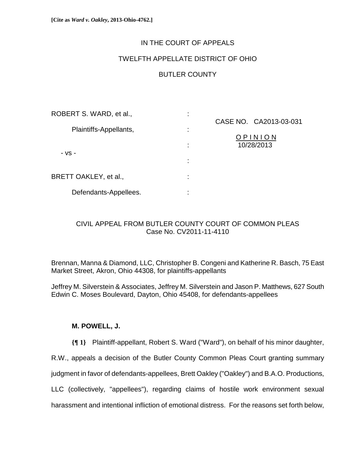# IN THE COURT OF APPEALS

# TWELFTH APPELLATE DISTRICT OF OHIO

# BUTLER COUNTY

| ROBERT S. WARD, et al., | ٠<br>٠         |                        |
|-------------------------|----------------|------------------------|
| Plaintiffs-Appellants,  | ٠              | CASE NO. CA2013-03-031 |
|                         | $\blacksquare$ | OPINION                |
| - VS -                  | ÷              | 10/28/2013             |
|                         | ٠              |                        |
| BRETT OAKLEY, et al.,   | ٠              |                        |
| Defendants-Appellees.   | ٠              |                        |

# CIVIL APPEAL FROM BUTLER COUNTY COURT OF COMMON PLEAS Case No. CV2011-11-4110

Brennan, Manna & Diamond, LLC, Christopher B. Congeni and Katherine R. Basch, 75 East Market Street, Akron, Ohio 44308, for plaintiffs-appellants

Jeffrey M. Silverstein & Associates, Jeffrey M. Silverstein and Jason P. Matthews, 627 South Edwin C. Moses Boulevard, Dayton, Ohio 45408, for defendants-appellees

# **M. POWELL, J.**

**{¶ 1}** Plaintiff-appellant, Robert S. Ward ("Ward"), on behalf of his minor daughter,

R.W., appeals a decision of the Butler County Common Pleas Court granting summary

judgment in favor of defendants-appellees, Brett Oakley ("Oakley") and B.A.O. Productions,

LLC (collectively, "appellees"), regarding claims of hostile work environment sexual

harassment and intentional infliction of emotional distress. For the reasons set forth below,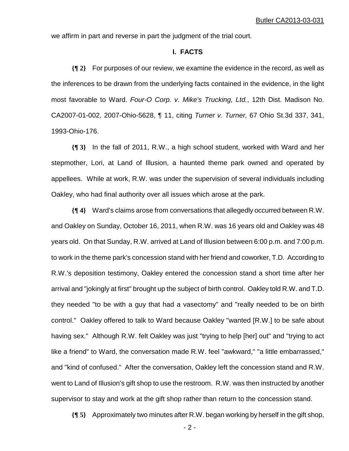we affirm in part and reverse in part the judgment of the trial court.

### **I. FACTS**

**{¶ 2}** For purposes of our review, we examine the evidence in the record, as well as the inferences to be drawn from the underlying facts contained in the evidence, in the light most favorable to Ward. *Four-O Corp. v. Mike's Trucking, Ltd.*, 12th Dist. Madison No. CA2007-01-002, 2007-Ohio-5628, ¶ 11, citing *Turner v. Turner,* 67 Ohio St.3d 337, 341, 1993-Ohio-176.

**{¶ 3}** In the fall of 2011, R.W., a high school student, worked with Ward and her stepmother, Lori, at Land of Illusion, a haunted theme park owned and operated by appellees. While at work, R.W. was under the supervision of several individuals including Oakley, who had final authority over all issues which arose at the park.

**{¶ 4}** Ward's claims arose from conversations that allegedly occurred between R.W. and Oakley on Sunday, October 16, 2011, when R.W. was 16 years old and Oakley was 48 years old. On that Sunday, R.W. arrived at Land of Illusion between 6:00 p.m. and 7:00 p.m. to work in the theme park's concession stand with her friend and coworker, T.D. According to R.W.'s deposition testimony, Oakley entered the concession stand a short time after her arrival and "jokingly at first" brought up the subject of birth control. Oakley told R.W. and T.D. they needed "to be with a guy that had a vasectomy" and "really needed to be on birth control." Oakley offered to talk to Ward because Oakley "wanted [R.W.] to be safe about having sex." Although R.W. felt Oakley was just "trying to help [her] out" and "trying to act like a friend" to Ward, the conversation made R.W. feel "awkward," "a little embarrassed," and "kind of confused." After the conversation, Oakley left the concession stand and R.W. went to Land of Illusion's gift shop to use the restroom. R.W. was then instructed by another supervisor to stay and work at the gift shop rather than return to the concession stand.

**{¶ 5}** Approximately two minutes after R.W. began working by herself in the gift shop,

 $-2$  -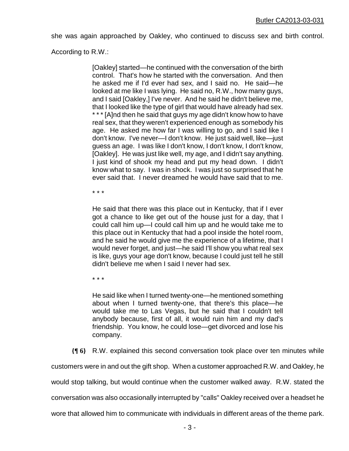she was again approached by Oakley, who continued to discuss sex and birth control.

According to R.W.:

[Oakley] started—he continued with the conversation of the birth control. That's how he started with the conversation. And then he asked me if I'd ever had sex, and I said no. He said—he looked at me like I was lying. He said no, R.W., how many guys, and I said [Oakley,] I've never. And he said he didn't believe me, that I looked like the type of girl that would have already had sex. \* \* \* [A]nd then he said that guys my age didn't know how to have real sex, that they weren't experienced enough as somebody his age. He asked me how far I was willing to go, and I said like I don't know. I've never—I don't know. He just said well, like—just guess an age. I was like I don't know, I don't know, I don't know, [Oakley]. He was just like well, my age, and I didn't say anything. I just kind of shook my head and put my head down. I didn't know what to say. I was in shock. I was just so surprised that he ever said that. I never dreamed he would have said that to me.

\* \* \*

He said that there was this place out in Kentucky, that if I ever got a chance to like get out of the house just for a day, that I could call him up—I could call him up and he would take me to this place out in Kentucky that had a pool inside the hotel room, and he said he would give me the experience of a lifetime, that I would never forget, and just—he said I'll show you what real sex is like, guys your age don't know, because I could just tell he still didn't believe me when I said I never had sex.

\* \* \*

He said like when I turned twenty-one—he mentioned something about when I turned twenty-one, that there's this place—he would take me to Las Vegas, but he said that I couldn't tell anybody because, first of all, it would ruin him and my dad's friendship. You know, he could lose—get divorced and lose his company.

**{¶ 6}** R.W. explained this second conversation took place over ten minutes while

customers were in and out the gift shop. When a customer approached R.W. and Oakley, he

would stop talking, but would continue when the customer walked away. R.W. stated the

conversation was also occasionally interrupted by "calls" Oakley received over a headset he

wore that allowed him to communicate with individuals in different areas of the theme park.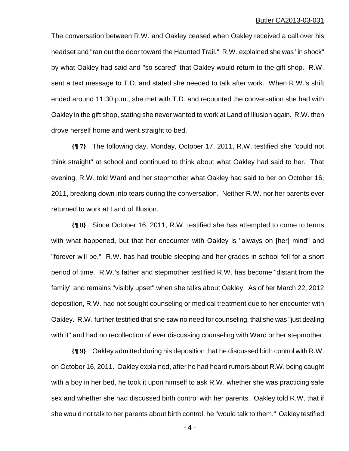The conversation between R.W. and Oakley ceased when Oakley received a call over his headset and "ran out the door toward the Haunted Trail." R.W. explained she was "in shock" by what Oakley had said and "so scared" that Oakley would return to the gift shop. R.W. sent a text message to T.D. and stated she needed to talk after work. When R.W.'s shift ended around 11:30 p.m., she met with T.D. and recounted the conversation she had with Oakley in the gift shop, stating she never wanted to work at Land of Illusion again. R.W. then drove herself home and went straight to bed.

**{¶ 7}** The following day, Monday, October 17, 2011, R.W. testified she "could not think straight" at school and continued to think about what Oakley had said to her. That evening, R.W. told Ward and her stepmother what Oakley had said to her on October 16, 2011, breaking down into tears during the conversation. Neither R.W. nor her parents ever returned to work at Land of Illusion.

**{¶ 8}** Since October 16, 2011, R.W. testified she has attempted to come to terms with what happened, but that her encounter with Oakley is "always on [her] mind" and "forever will be." R.W. has had trouble sleeping and her grades in school fell for a short period of time. R.W.'s father and stepmother testified R.W. has become "distant from the family" and remains "visibly upset" when she talks about Oakley. As of her March 22, 2012 deposition, R.W. had not sought counseling or medical treatment due to her encounter with Oakley. R.W. further testified that she saw no need for counseling, that she was "just dealing with it" and had no recollection of ever discussing counseling with Ward or her stepmother.

**{¶ 9}** Oakley admitted during his deposition that he discussed birth control with R.W. on October 16, 2011. Oakley explained, after he had heard rumors about R.W. being caught with a boy in her bed, he took it upon himself to ask R.W. whether she was practicing safe sex and whether she had discussed birth control with her parents. Oakley told R.W. that if she would not talk to her parents about birth control, he "would talk to them." Oakley testified

 $-4-$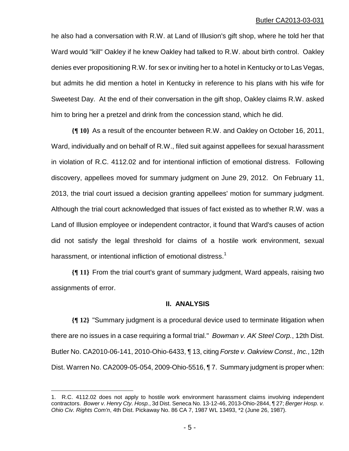he also had a conversation with R.W. at Land of Illusion's gift shop, where he told her that Ward would "kill" Oakley if he knew Oakley had talked to R.W. about birth control. Oakley denies ever propositioning R.W. for sex or inviting her to a hotel in Kentucky or to Las Vegas, but admits he did mention a hotel in Kentucky in reference to his plans with his wife for Sweetest Day. At the end of their conversation in the gift shop, Oakley claims R.W. asked him to bring her a pretzel and drink from the concession stand, which he did.

**{¶ 10}** As a result of the encounter between R.W. and Oakley on October 16, 2011, Ward, individually and on behalf of R.W., filed suit against appellees for sexual harassment in violation of R.C. 4112.02 and for intentional infliction of emotional distress. Following discovery, appellees moved for summary judgment on June 29, 2012. On February 11, 2013, the trial court issued a decision granting appellees' motion for summary judgment. Although the trial court acknowledged that issues of fact existed as to whether R.W. was a Land of Illusion employee or independent contractor, it found that Ward's causes of action did not satisfy the legal threshold for claims of a hostile work environment, sexual harassment, or intentional infliction of emotional distress.<sup>1</sup>

**{¶ 11}** From the trial court's grant of summary judgment, Ward appeals, raising two assignments of error.

## **II. ANALYSIS**

**{¶ 12}** "Summary judgment is a procedural device used to terminate litigation when there are no issues in a case requiring a formal trial." *Bowman v. AK Steel Corp.*, 12th Dist. Butler No. CA2010-06-141, 2010-Ohio-6433, ¶ 13, citing *Forste v. Oakview Const., Inc.*, 12th Dist. Warren No. CA2009-05-054, 2009-Ohio-5516, ¶ 7. Summary judgment is proper when:

<u>.</u>

<sup>1.</sup> R.C. 4112.02 does not apply to hostile work environment harassment claims involving independent contractors. *Bower v. Henry Cty. Hosp.*, 3d Dist. Seneca No. 13-12-46, 2013-Ohio-2844, ¶ 27; *Berger Hosp. v. Ohio Civ. Rights Com'n*, 4th Dist. Pickaway No. 86 CA 7, 1987 WL 13493, \*2 (June 26, 1987).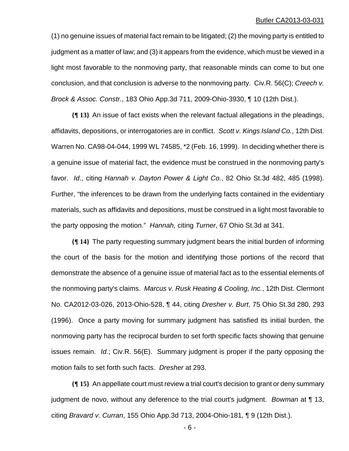(1) no genuine issues of material fact remain to be litigated; (2) the moving party is entitled to judgment as a matter of law; and (3) it appears from the evidence, which must be viewed in a light most favorable to the nonmoving party, that reasonable minds can come to but one conclusion, and that conclusion is adverse to the nonmoving party. Civ.R. 56(C); *Creech v. Brock & Assoc. Constr.*, 183 Ohio App.3d 711, 2009-Ohio-3930, ¶ 10 (12th Dist.).

**{¶ 13}** An issue of fact exists when the relevant factual allegations in the pleadings, affidavits, depositions, or interrogatories are in conflict. *Scott v. Kings Island Co.*, 12th Dist. Warren No. CA98-04-044, 1999 WL 74585, \*2 (Feb. 16, 1999). In deciding whether there is a genuine issue of material fact, the evidence must be construed in the nonmoving party's favor. *Id*., citing *Hannah v. Dayton Power & Light Co.*, 82 Ohio St.3d 482, 485 (1998). Further, "the inferences to be drawn from the underlying facts contained in the evidentiary materials, such as affidavits and depositions, must be construed in a light most favorable to the party opposing the motion." *Hannah,* citing *Turner*, 67 Ohio St.3d at 341.

**{¶ 14}** The party requesting summary judgment bears the initial burden of informing the court of the basis for the motion and identifying those portions of the record that demonstrate the absence of a genuine issue of material fact as to the essential elements of the nonmoving party's claims. *Marcus v. Rusk Heating & Cooling, Inc.*, 12th Dist. Clermont No. CA2012-03-026, 2013-Ohio-528, ¶ 44, citing *Dresher v. Burt*, 75 Ohio St.3d 280, 293 (1996). Once a party moving for summary judgment has satisfied its initial burden, the nonmoving party has the reciprocal burden to set forth specific facts showing that genuine issues remain. *Id*.; Civ.R. 56(E). Summary judgment is proper if the party opposing the motion fails to set forth such facts. *Dresher* at 293.

**{¶ 15}** An appellate court must review a trial court's decision to grant or deny summary judgment de novo, without any deference to the trial court's judgment. *Bowman* at ¶ 13, citing *Bravard v. Curran*, 155 Ohio App.3d 713, 2004-Ohio-181, ¶ 9 (12th Dist.).

- 6 -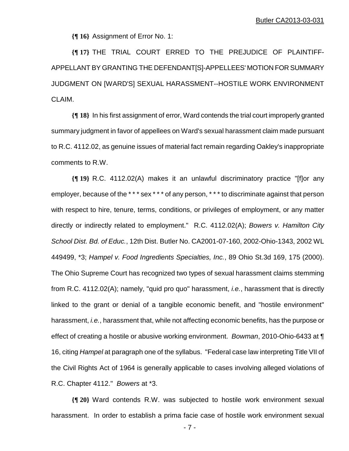**{¶ 16}** Assignment of Error No. 1:

**{¶ 17}** THE TRIAL COURT ERRED TO THE PREJUDICE OF PLAINTIFF-APPELLANT BY GRANTING THE DEFENDANT[S]-APPELLEES' MOTION FOR SUMMARY JUDGMENT ON [WARD'S] SEXUAL HARASSMENT--HOSTILE WORK ENVIRONMENT CLAIM.

**{¶ 18}** In his first assignment of error, Ward contends the trial court improperly granted summary judgment in favor of appellees on Ward's sexual harassment claim made pursuant to R.C. 4112.02, as genuine issues of material fact remain regarding Oakley's inappropriate comments to R.W.

**{¶ 19}** R.C. 4112.02(A) makes it an unlawful discriminatory practice "[f]or any employer, because of the \*\*\* sex \*\*\* of any person, \*\*\* to discriminate against that person with respect to hire, tenure, terms, conditions, or privileges of employment, or any matter directly or indirectly related to employment." R.C. 4112.02(A); *Bowers v. Hamilton City School Dist. Bd. of Educ.*, 12th Dist. Butler No. CA2001-07-160, 2002-Ohio-1343, 2002 WL 449499, \*3; *Hampel v. Food Ingredients Specialties, Inc.*, 89 Ohio St.3d 169, 175 (2000). The Ohio Supreme Court has recognized two types of sexual harassment claims stemming from R.C. 4112.02(A); namely, "quid pro quo" harassment, *i.e.*, harassment that is directly linked to the grant or denial of a tangible economic benefit, and "hostile environment" harassment, *i.e.*, harassment that, while not affecting economic benefits, has the purpose or effect of creating a hostile or abusive working environment. *Bowman*, 2010-Ohio-6433 at ¶ 16, citing *Hampel* at paragraph one of the syllabus. "Federal case law interpreting Title VII of the Civil Rights Act of 1964 is generally applicable to cases involving alleged violations of R.C. Chapter 4112." *Bowers* at \*3.

**{¶ 20}** Ward contends R.W. was subjected to hostile work environment sexual harassment. In order to establish a prima facie case of hostile work environment sexual

 $-7$  -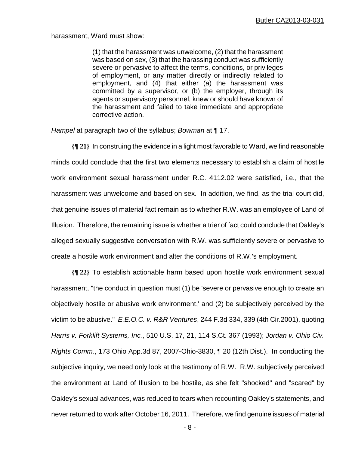harassment, Ward must show:

(1) that the harassment was unwelcome, (2) that the harassment was based on sex, (3) that the harassing conduct was sufficiently severe or pervasive to affect the terms, conditions, or privileges of employment, or any matter directly or indirectly related to employment, and (4) that either (a) the harassment was committed by a supervisor, or (b) the employer, through its agents or supervisory personnel, knew or should have known of the harassment and failed to take immediate and appropriate corrective action.

*Hampel* at paragraph two of the syllabus; *Bowman* at ¶ 17.

**{¶ 21}** In construing the evidence in a light most favorable to Ward, we find reasonable minds could conclude that the first two elements necessary to establish a claim of hostile work environment sexual harassment under R.C. 4112.02 were satisfied, i.e., that the harassment was unwelcome and based on sex. In addition, we find, as the trial court did, that genuine issues of material fact remain as to whether R.W. was an employee of Land of Illusion. Therefore, the remaining issue is whether a trier of fact could conclude that Oakley's alleged sexually suggestive conversation with R.W. was sufficiently severe or pervasive to create a hostile work environment and alter the conditions of R.W.'s employment.

**{¶ 22}** To establish actionable harm based upon hostile work environment sexual harassment, "the conduct in question must (1) be 'severe or pervasive enough to create an objectively hostile or abusive work environment,' and (2) be subjectively perceived by the victim to be abusive." *E.E.O.C. v. R&R Ventures*, 244 F.3d 334, 339 (4th Cir.2001), quoting *Harris v. Forklift Systems, Inc.*, 510 U.S. 17, 21, 114 S.Ct. 367 (1993); *Jordan v. Ohio Civ. Rights Comm.*, 173 Ohio App.3d 87, 2007-Ohio-3830, ¶ 20 (12th Dist.). In conducting the subjective inquiry, we need only look at the testimony of R.W. R.W. subjectively perceived the environment at Land of Illusion to be hostile, as she felt "shocked" and "scared" by Oakley's sexual advances, was reduced to tears when recounting Oakley's statements, and never returned to work after October 16, 2011. Therefore, we find genuine issues of material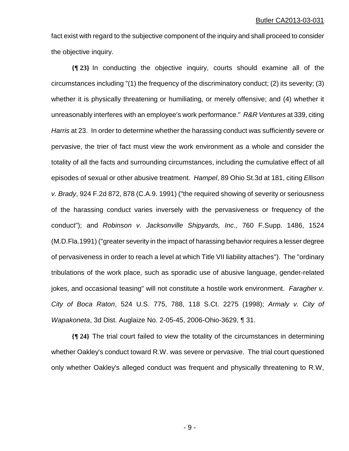fact exist with regard to the subjective component of the inquiry and shall proceed to consider the objective inquiry.

**{¶ 23}** In conducting the objective inquiry, courts should examine all of the circumstances including "(1) the frequency of the discriminatory conduct; (2) its severity; (3) whether it is physically threatening or humiliating, or merely offensive; and (4) whether it unreasonably interferes with an employee's work performance." *R&R Ventures* at 339, citing *Harris* at 23. In order to determine whether the harassing conduct was sufficiently severe or pervasive, the trier of fact must view the work environment as a whole and consider the totality of all the facts and surrounding circumstances, including the cumulative effect of all episodes of sexual or other abusive treatment. *Hampel*, 89 Ohio St.3d at 181, citing *Ellison v. Brady*, 924 F.2d 872, 878 (C.A.9. 1991) ("the required showing of severity or seriousness of the harassing conduct varies inversely with the pervasiveness or frequency of the conduct"); and *Robinson v. Jacksonville Shipyards, Inc*., 760 F.Supp. 1486, 1524 (M.D.Fla.1991) ("greater severity in the impact of harassing behavior requires a lesser degree of pervasiveness in order to reach a level at which Title VII liability attaches"). The "ordinary tribulations of the work place, such as sporadic use of abusive language, gender-related jokes, and occasional teasing" will not constitute a hostile work environment. *Faragher v. City of Boca Raton*, 524 U.S. 775, 788, 118 S.Ct. 2275 (1998); *Armaly v. City of Wapakoneta*, 3d Dist. Auglaize No. 2-05-45, 2006-Ohio-3629, ¶ 31.

**{¶ 24}** The trial court failed to view the totality of the circumstances in determining whether Oakley's conduct toward R.W. was severe or pervasive. The trial court questioned only whether Oakley's alleged conduct was frequent and physically threatening to R.W,

 $-9 -$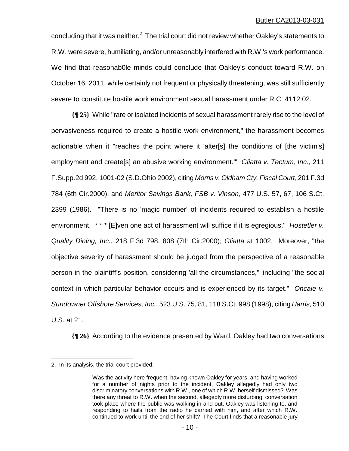concluding that it was neither. $^2$  The trial court did not review whether Oakley's statements to R.W. were severe, humiliating, and/or unreasonably interfered with R.W.'s work performance. We find that reasonab0le minds could conclude that Oakley's conduct toward R.W. on October 16, 2011, while certainly not frequent or physically threatening, was still sufficiently severe to constitute hostile work environment sexual harassment under R.C. 4112.02.

**{¶ 25}** While "rare or isolated incidents of sexual harassment rarely rise to the level of pervasiveness required to create a hostile work environment," the harassment becomes actionable when it "reaches the point where it 'alter[s] the conditions of [the victim's] employment and create[s] an abusive working environment.'" *Gliatta v. Tectum, Inc.*, 211 F.Supp.2d 992, 1001-02 (S.D.Ohio 2002), citing *Morris v. Oldham Cty. Fiscal Court*, 201 F.3d 784 (6th Cir.2000), and *Meritor Savings Bank, FSB v. Vinson*, 477 U.S. 57, 67, 106 S.Ct. 2399 (1986). "There is no 'magic number' of incidents required to establish a hostile environment. \* \* \* [E]ven one act of harassment will suffice if it is egregious." *Hostetler v. Quality Dining, Inc.*, 218 F.3d 798, 808 (7th Cir.2000); *Gliatta* at 1002. Moreover, "the objective severity of harassment should be judged from the perspective of a reasonable person in the plaintiff's position, considering 'all the circumstances,'" including "the social context in which particular behavior occurs and is experienced by its target." *Oncale v. Sundowner Offshore Services, Inc.*, 523 U.S. 75, 81, 118 S.Ct. 998 (1998), citing *Harris*, 510 U.S. at 21.

**{¶ 26}** According to the evidence presented by Ward, Oakley had two conversations

 $\overline{a}$ 

<sup>2.</sup> In its analysis, the trial court provided:

Was the activity here frequent, having known Oakley for years, and having worked for a number of nights prior to the incident, Oakley allegedly had only two discriminatory conversations with R.W., one of which R.W. herself dismissed? Was there any threat to R.W. when the second, allegedly more disturbing, conversation took place where the public was walking in and out, Oakley was listening to, and responding to hails from the radio he carried with him, and after which R.W. continued to work until the end of her shift? The Court finds that a reasonable jury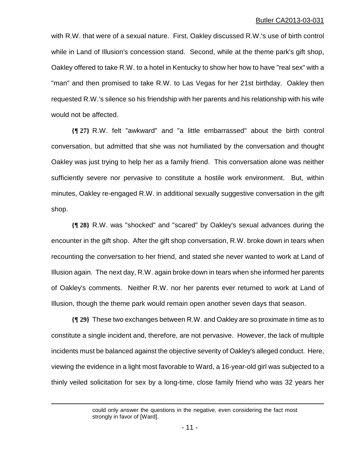with R.W. that were of a sexual nature. First, Oakley discussed R.W.'s use of birth control while in Land of Illusion's concession stand. Second, while at the theme park's gift shop, Oakley offered to take R.W. to a hotel in Kentucky to show her how to have "real sex" with a "man" and then promised to take R.W. to Las Vegas for her 21st birthday. Oakley then requested R.W.'s silence so his friendship with her parents and his relationship with his wife would not be affected.

**{¶ 27}** R.W. felt "awkward" and "a little embarrassed" about the birth control conversation, but admitted that she was not humiliated by the conversation and thought Oakley was just trying to help her as a family friend. This conversation alone was neither sufficiently severe nor pervasive to constitute a hostile work environment. But, within minutes, Oakley re-engaged R.W. in additional sexually suggestive conversation in the gift shop.

**{¶ 28}** R.W. was "shocked" and "scared" by Oakley's sexual advances during the encounter in the gift shop. After the gift shop conversation, R.W. broke down in tears when recounting the conversation to her friend, and stated she never wanted to work at Land of Illusion again. The next day, R.W. again broke down in tears when she informed her parents of Oakley's comments. Neither R.W. nor her parents ever returned to work at Land of Illusion, though the theme park would remain open another seven days that season.

**{¶ 29}** These two exchanges between R.W. and Oakley are so proximate in time as to constitute a single incident and, therefore, are not pervasive. However, the lack of multiple incidents must be balanced against the objective severity of Oakley's alleged conduct. Here, viewing the evidence in a light most favorable to Ward, a 16-year-old girl was subjected to a thinly veiled solicitation for sex by a long-time, close family friend who was 32 years her

 $\overline{a}$ 

could only answer the questions in the negative, even considering the fact most strongly in favor of [Ward].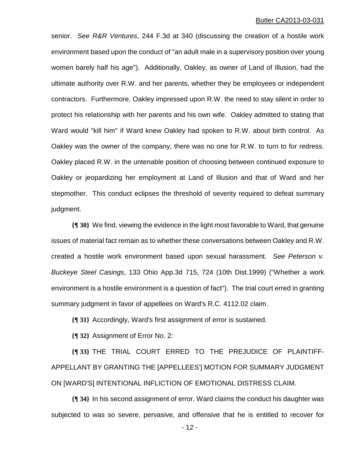senior. *See R&R Ventures*, 244 F.3d at 340 (discussing the creation of a hostile work environment based upon the conduct of "an adult male in a supervisory position over young women barely half his age"). Additionally, Oakley, as owner of Land of Illusion, had the ultimate authority over R.W. and her parents, whether they be employees or independent contractors. Furthermore, Oakley impressed upon R.W. the need to stay silent in order to protect his relationship with her parents and his own wife. Oakley admitted to stating that Ward would "kill him" if Ward knew Oakley had spoken to R.W. about birth control. As Oakley was the owner of the company, there was no one for R.W. to turn to for redress. Oakley placed R.W. in the untenable position of choosing between continued exposure to Oakley or jeopardizing her employment at Land of Illusion and that of Ward and her stepmother. This conduct eclipses the threshold of severity required to defeat summary judgment.

**{¶ 30}** We find, viewing the evidence in the light most favorable to Ward, that genuine issues of material fact remain as to whether these conversations between Oakley and R.W. created a hostile work environment based upon sexual harassment. *See Peterson v. Buckeye Steel Casings*, 133 Ohio App.3d 715, 724 (10th Dist.1999) ("Whether a work environment is a hostile environment is a question of fact"). The trial court erred in granting summary judgment in favor of appellees on Ward's R.C. 4112.02 claim.

**{¶ 31}** Accordingly, Ward's first assignment of error is sustained.

**{¶ 32}** Assignment of Error No. 2:

**{¶ 33}** THE TRIAL COURT ERRED TO THE PREJUDICE OF PLAINTIFF-APPELLANT BY GRANTING THE [APPELLEES'] MOTION FOR SUMMARY JUDGMENT ON [WARD'S] INTENTIONAL INFLICTION OF EMOTIONAL DISTRESS CLAIM.

**{¶ 34}** In his second assignment of error, Ward claims the conduct his daughter was subjected to was so severe, pervasive, and offensive that he is entitled to recover for

 $- 12 -$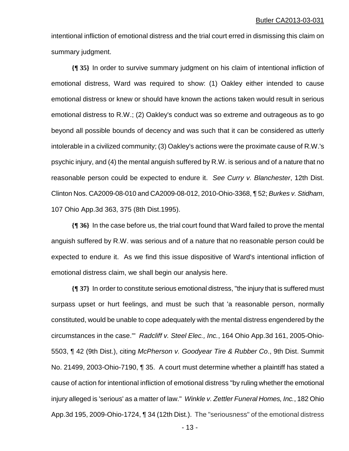intentional infliction of emotional distress and the trial court erred in dismissing this claim on summary judgment.

**{¶ 35}** In order to survive summary judgment on his claim of intentional infliction of emotional distress, Ward was required to show: (1) Oakley either intended to cause emotional distress or knew or should have known the actions taken would result in serious emotional distress to R.W.; (2) Oakley's conduct was so extreme and outrageous as to go beyond all possible bounds of decency and was such that it can be considered as utterly intolerable in a civilized community; (3) Oakley's actions were the proximate cause of R.W.'s psychic injury, and (4) the mental anguish suffered by R.W. is serious and of a nature that no reasonable person could be expected to endure it. *See Curry v. Blanchester*, 12th Dist. Clinton Nos. CA2009-08-010 and CA2009-08-012, 2010-Ohio-3368, ¶ 52; *Burkes v. Stidham*, 107 Ohio App.3d 363, 375 (8th Dist.1995).

**{¶ 36}** In the case before us, the trial court found that Ward failed to prove the mental anguish suffered by R.W. was serious and of a nature that no reasonable person could be expected to endure it. As we find this issue dispositive of Ward's intentional infliction of emotional distress claim, we shall begin our analysis here.

**{¶ 37}** In order to constitute serious emotional distress, "the injury that is suffered must surpass upset or hurt feelings, and must be such that 'a reasonable person, normally constituted, would be unable to cope adequately with the mental distress engendered by the circumstances in the case.'" *Radcliff v. Steel Elec., Inc.*, 164 Ohio App.3d 161, 2005-Ohio-5503, ¶ 42 (9th Dist.), citing *McPherson v. Goodyear Tire & Rubber Co*., 9th Dist. Summit No. 21499, 2003-Ohio-7190, ¶ 35. A court must determine whether a plaintiff has stated a cause of action for intentional infliction of emotional distress "by ruling whether the emotional injury alleged is 'serious' as a matter of law." *Winkle v. Zettler Funeral Homes, Inc.*, 182 Ohio App.3d 195, 2009-Ohio-1724, ¶ 34 (12th Dist.). The "seriousness" of the emotional distress

 $- 13 -$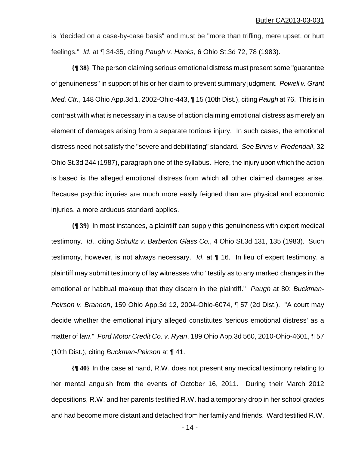is "decided on a case-by-case basis" and must be "more than trifling, mere upset, or hurt feelings." *Id*. at ¶ 34-35, citing *Paugh v. Hanks*, 6 Ohio St.3d 72, 78 (1983).

**{¶ 38}** The person claiming serious emotional distress must present some "guarantee of genuineness" in support of his or her claim to prevent summary judgment. *Powell v. Grant Med. Ctr.*, 148 Ohio App.3d 1, 2002-Ohio-443, ¶ 15 (10th Dist.), citing *Paugh* at 76. This is in contrast with what is necessary in a cause of action claiming emotional distress as merely an element of damages arising from a separate tortious injury. In such cases, the emotional distress need not satisfy the "severe and debilitating" standard. *See Binns v. Fredendall*, 32 Ohio St.3d 244 (1987), paragraph one of the syllabus. Here, the injury upon which the action is based is the alleged emotional distress from which all other claimed damages arise. Because psychic injuries are much more easily feigned than are physical and economic injuries, a more arduous standard applies.

**{¶ 39}** In most instances, a plaintiff can supply this genuineness with expert medical testimony. *Id*., citing *Schultz v. Barberton Glass Co.*, 4 Ohio St.3d 131, 135 (1983). Such testimony, however, is not always necessary. *Id*. at ¶ 16. In lieu of expert testimony, a plaintiff may submit testimony of lay witnesses who "testify as to any marked changes in the emotional or habitual makeup that they discern in the plaintiff." *Paugh* at 80; *Buckman-Peirson v. Brannon*, 159 Ohio App.3d 12, 2004-Ohio-6074, ¶ 57 (2d Dist.). "A court may decide whether the emotional injury alleged constitutes 'serious emotional distress' as a matter of law." *Ford Motor Credit Co. v. Ryan*, 189 Ohio App.3d 560, 2010-Ohio-4601, ¶ 57 (10th Dist.), citing *Buckman-Peirson* at ¶ 41.

**{¶ 40}** In the case at hand, R.W. does not present any medical testimony relating to her mental anguish from the events of October 16, 2011. During their March 2012 depositions, R.W. and her parents testified R.W. had a temporary drop in her school grades and had become more distant and detached from her family and friends. Ward testified R.W.

 $-14$  -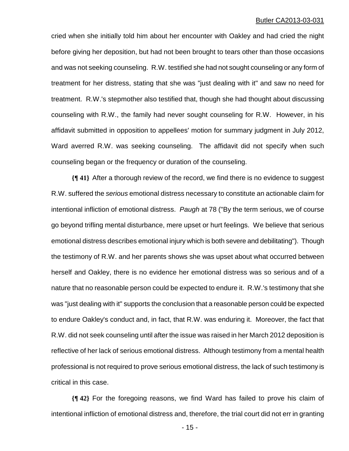cried when she initially told him about her encounter with Oakley and had cried the night before giving her deposition, but had not been brought to tears other than those occasions and was not seeking counseling. R.W. testified she had not sought counseling or any form of treatment for her distress, stating that she was "just dealing with it" and saw no need for treatment. R.W.'s stepmother also testified that, though she had thought about discussing counseling with R.W., the family had never sought counseling for R.W. However, in his affidavit submitted in opposition to appellees' motion for summary judgment in July 2012, Ward averred R.W. was seeking counseling. The affidavit did not specify when such counseling began or the frequency or duration of the counseling.

**{¶ 41}** After a thorough review of the record, we find there is no evidence to suggest R.W. suffered the *serious* emotional distress necessary to constitute an actionable claim for intentional infliction of emotional distress. *Paugh* at 78 ("By the term serious, we of course go beyond trifling mental disturbance, mere upset or hurt feelings. We believe that serious emotional distress describes emotional injury which is both severe and debilitating"). Though the testimony of R.W. and her parents shows she was upset about what occurred between herself and Oakley, there is no evidence her emotional distress was so serious and of a nature that no reasonable person could be expected to endure it. R.W.'s testimony that she was "just dealing with it" supports the conclusion that a reasonable person could be expected to endure Oakley's conduct and, in fact, that R.W. was enduring it. Moreover, the fact that R.W. did not seek counseling until after the issue was raised in her March 2012 deposition is reflective of her lack of serious emotional distress. Although testimony from a mental health professional is not required to prove serious emotional distress, the lack of such testimony is critical in this case.

**{¶ 42}** For the foregoing reasons, we find Ward has failed to prove his claim of intentional infliction of emotional distress and, therefore, the trial court did not err in granting

 $- 15 -$